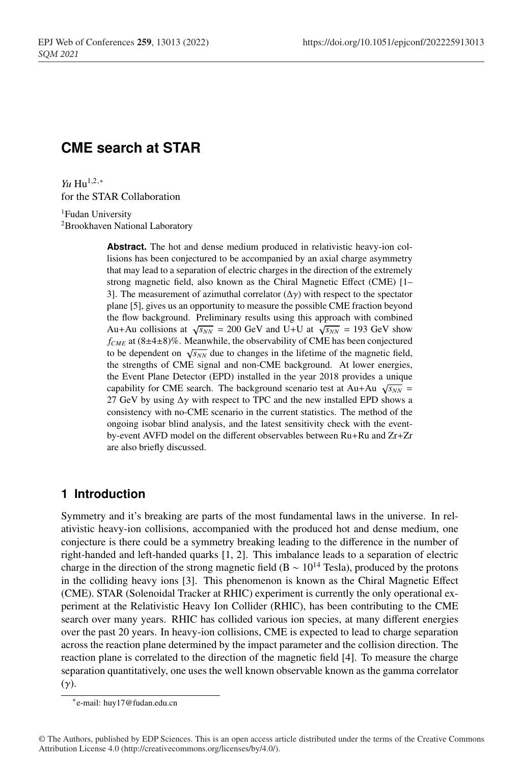# **CME search at STAR**

*Yu* Hu<sup>1,2,∗</sup> for the STAR Collaboration

<sup>1</sup>Fudan University <sup>2</sup>Brookhaven National Laboratory

> **Abstract.** The hot and dense medium produced in relativistic heavy-ion collisions has been conjectured to be accompanied by an axial charge asymmetry that may lead to a separation of electric charges in the direction of the extremely strong magnetic field, also known as the Chiral Magnetic Effect (CME) [1– 3]. The measurement of azimuthal correlator  $(\Delta \gamma)$  with respect to the spectator plane [5], gives us an opportunity to measure the possible CME fraction beyond the flow background. Preliminary results using this approach with combined Au+Au collisions at  $\sqrt{s_{NN}}$  = 200 GeV and U+U at  $\sqrt{s_{NN}}$  = 193 GeV show  $f_{CME}$  at  $(8\pm4\pm8)\%$ . Meanwhile, the observability of CME has been conjectured to be dependent on  $\sqrt{s_{NN}}$  due to changes in the lifetime of the magnetic field, the strengths of CME signal and non-CME background. At lower energies, the Event Plane Detector (EPD) installed in the year 2018 provides a unique capability for CME search. The background scenario test at Au+Au  $\sqrt{s_{NN}}$  = 27 GeV by using  $\Delta \gamma$  with respect to TPC and the new installed EPD shows a consistency with no-CME scenario in the current statistics. The method of the ongoing isobar blind analysis, and the latest sensitivity check with the eventby-event AVFD model on the different observables between Ru+Ru and Zr+Zr are also briefly discussed.

### **1 Introduction**

Symmetry and it's breaking are parts of the most fundamental laws in the universe. In relativistic heavy-ion collisions, accompanied with the produced hot and dense medium, one conjecture is there could be a symmetry breaking leading to the difference in the number of right-handed and left-handed quarks [1, 2]. This imbalance leads to a separation of electric charge in the direction of the strong magnetic field (B ~  $10^{14}$  Tesla), produced by the protons in the colliding heavy ions [3]. This phenomenon is known as the Chiral Magnetic Effect (CME). STAR (Solenoidal Tracker at RHIC) experiment is currently the only operational experiment at the Relativistic Heavy Ion Collider (RHIC), has been contributing to the CME search over many years. RHIC has collided various ion species, at many different energies over the past 20 years. In heavy-ion collisions, CME is expected to lead to charge separation across the reaction plane determined by the impact parameter and the collision direction. The reaction plane is correlated to the direction of the magnetic field [4]. To measure the charge separation quantitatively, one uses the well known observable known as the gamma correlator  $(\gamma)$ .

<sup>∗</sup>e-mail: huy17@fudan.edu.cn

<sup>©</sup> The Authors, published by EDP Sciences. This is an open access article distributed under the terms of the Creative Commons Attribution License 4.0 (http://creativecommons.org/licenses/by/4.0/).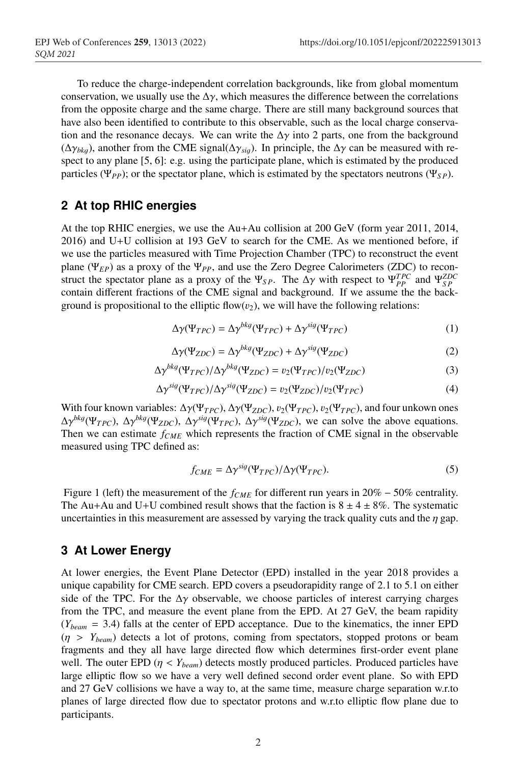To reduce the charge-independent correlation backgrounds, like from global momentum conservation, we usually use the  $\Delta \gamma$ , which measures the difference between the correlations from the opposite charge and the same charge. There are still many background sources that have also been identified to contribute to this observable, such as the local charge conservation and the resonance decays. We can write the  $\Delta\gamma$  into 2 parts, one from the background (∆γ*bk*g), another from the CME signal(∆γ*si*g). In principle, the ∆γ can be measured with respect to any plane [5, 6]: e.g. using the participate plane, which is estimated by the produced particles (Ψ<sub>*PP*</sub>); or the spectator plane, which is estimated by the spectators neutrons (Ψ<sub>*SP*</sub>).

### **2 At top RHIC energies**

At the top RHIC energies, we use the Au+Au collision at 200 GeV (form year 2011, 2014, 2016) and U+U collision at 193 GeV to search for the CME. As we mentioned before, if we use the particles measured with Time Projection Chamber (TPC) to reconstruct the event plane (Ψ*EP*) as a proxy of the Ψ*PP*, and use the Zero Degree Calorimeters (ZDC) to reconstruct the spectator plane as a proxy of the  $\Psi_{SP}$ . The  $\Delta \gamma$  with respect to  $\Psi_{PP}^{TPC}$  and  $\Psi_{SP}^{ZDC}$ contain different fractions of the CME signal and background. If we assume the the background is propositional to the elliptic flow $(v_2)$ , we will have the following relations:

$$
\Delta \gamma(\Psi_{TPC}) = \Delta \gamma^{bkg}(\Psi_{TPC}) + \Delta \gamma^{sig}(\Psi_{TPC})
$$
\n(1)

$$
\Delta \gamma(\Psi_{ZDC}) = \Delta \gamma^{bkg}(\Psi_{ZDC}) + \Delta \gamma^{sig}(\Psi_{ZDC})
$$
 (2)

$$
\Delta \gamma^{bkg} (\Psi_{TPC}) / \Delta \gamma^{bkg} (\Psi_{ZDC}) = v_2 (\Psi_{TPC}) / v_2 (\Psi_{ZDC})
$$
 (3)

$$
\Delta \gamma^{sig} (\Psi_{TPC}) / \Delta \gamma^{sig} (\Psi_{ZDC}) = v_2 (\Psi_{ZDC}) / v_2 (\Psi_{TPC})
$$
 (4)

With four known variables:  $\Delta \gamma(\Psi_{TPC}), \Delta \gamma(\Psi_{ZDC}), v_2(\Psi_{TPC}), v_2(\Psi_{TPC}),$  and four unkown ones  $\Delta \gamma^{bkg}(\Psi_{TPC})$ ,  $\Delta \gamma^{bkg}(\Psi_{ZDC})$ ,  $\Delta \gamma^{sig}(\Psi_{TPC})$ ,  $\Delta \gamma^{sig}(\Psi_{ZDC})$ , we can solve the above equations. Then we can estimate  $f_{CME}$  which represents the fraction of CME signal in the observable measured using TPC defined as:

$$
f_{CME} = \Delta \gamma^{sig} (\Psi_{TPC}) / \Delta \gamma (\Psi_{TPC}). \tag{5}
$$

Figure 1 (left) the measurement of the  $f_{CME}$  for different run years in 20% – 50% centrality. The Au+Au and U+U combined result shows that the faction is  $8 \pm 4 \pm 8\%$ . The systematic uncertainties in this measurement are assessed by varying the track quality cuts and the  $\eta$  gap.

### **3 At Lower Energy**

At lower energies, the Event Plane Detector (EPD) installed in the year 2018 provides a unique capability for CME search. EPD covers a pseudorapidity range of 2.1 to 5.1 on either side of the TPC. For the  $\Delta \gamma$  observable, we choose particles of interest carrying charges from the TPC, and measure the event plane from the EPD. At 27 GeV, the beam rapidity  $(Y_{beam} = 3.4)$  falls at the center of EPD acceptance. Due to the kinematics, the inner EPD  $(\eta > Y_{beam})$  detects a lot of protons, coming from spectators, stopped protons or beam fragments and they all have large directed flow which determines first-order event plane well. The outer EPD ( $\eta < Y_{beam}$ ) detects mostly produced particles. Produced particles have large elliptic flow so we have a very well defined second order event plane. So with EPD and 27 GeV collisions we have a way to, at the same time, measure charge separation w.r.to planes of large directed flow due to spectator protons and w.r.to elliptic flow plane due to participants.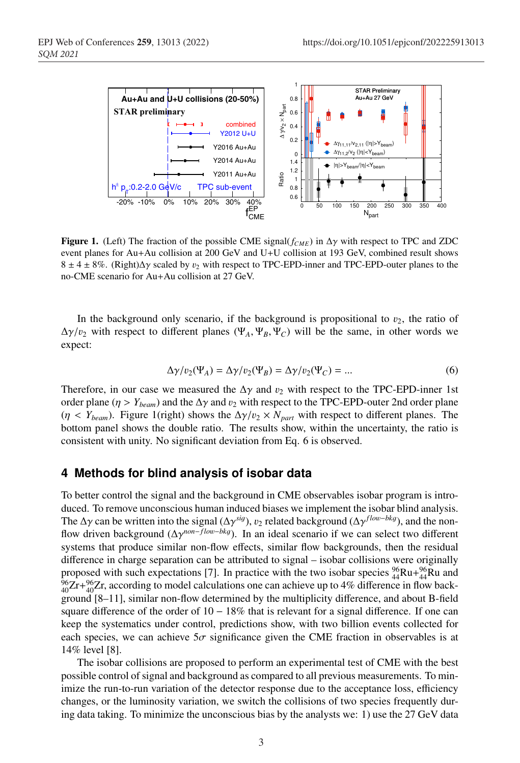

**Figure 1.** (Left) The fraction of the possible CME signal( $f_{CME}$ ) in  $\Delta \gamma$  with respect to TPC and ZDC event planes for Au+Au collision at 200 GeV and U+U collision at 193 GeV, combined result shows  $8 \pm 4 \pm 8\%$ . (Right) $\Delta y$  scaled by  $v_2$  with respect to TPC-EPD-inner and TPC-EPD-outer planes to the no-CME scenario for Au+Au collision at 27 GeV.

In the background only scenario, if the background is propositional to  $v_2$ , the ratio of  $\Delta \gamma/v_2$  with respect to different planes ( $\Psi_A$ ,  $\Psi_B$ ,  $\Psi_C$ ) will be the same, in other words we expect:

$$
\Delta \gamma / v_2(\Psi_A) = \Delta \gamma / v_2(\Psi_B) = \Delta \gamma / v_2(\Psi_C) = \dots \tag{6}
$$

Therefore, in our case we measured the  $\Delta \gamma$  and  $v_2$  with respect to the TPC-EPD-inner 1st order plane ( $\eta > Y_{beam}$ ) and the  $\Delta \gamma$  and  $v_2$  with respect to the TPC-EPD-outer 2nd order plane ( $\eta$  < *Y<sub>beam</sub>*). Figure 1(right) shows the  $\Delta\gamma/v_2 \times N_{part}$  with respect to different planes. The bottom panel shows the double ratio. The results show, within the uncertainty, the ratio is consistent with unity. No significant deviation from Eq. 6 is observed.

#### **4 Methods for blind analysis of isobar data**

To better control the signal and the background in CME observables isobar program is introduced. To remove unconscious human induced biases we implement the isobar blind analysis. The  $\Delta \gamma$  can be written into the signal ( $\Delta \gamma^{sig}$ ),  $v_2$  related background ( $\Delta \gamma^{flow-bkg}$ ), and the nonflow driven background (∆γ*non*−*f lo*w−*bk*<sup>g</sup>). In an ideal scenario if we can select two different systems that produce similar non-flow effects, similar flow backgrounds, then the residual difference in charge separation can be attributed to signal – isobar collisions were originally proposed with such expectations [7]. In practice with the two isobar species  $^{96}_{44}Ru + ^{96}_{44}Ru$  and  $^{96}_{40}Zr+^{96}_{40}Zr$ , according to model calculations one can achieve up to 4% difference in flow background [8–11], similar non-flow determined by the multiplicity difference, and about B-field square difference of the order of  $10 - 18\%$  that is relevant for a signal difference. If one can keep the systematics under control, predictions show, with two billion events collected for each species, we can achieve  $5\sigma$  significance given the CME fraction in observables is at 14% level [8].

The isobar collisions are proposed to perform an experimental test of CME with the best possible control of signal and background as compared to all previous measurements. To minimize the run-to-run variation of the detector response due to the acceptance loss, efficiency changes, or the luminosity variation, we switch the collisions of two species frequently during data taking. To minimize the unconscious bias by the analysts we: 1) use the 27 GeV data